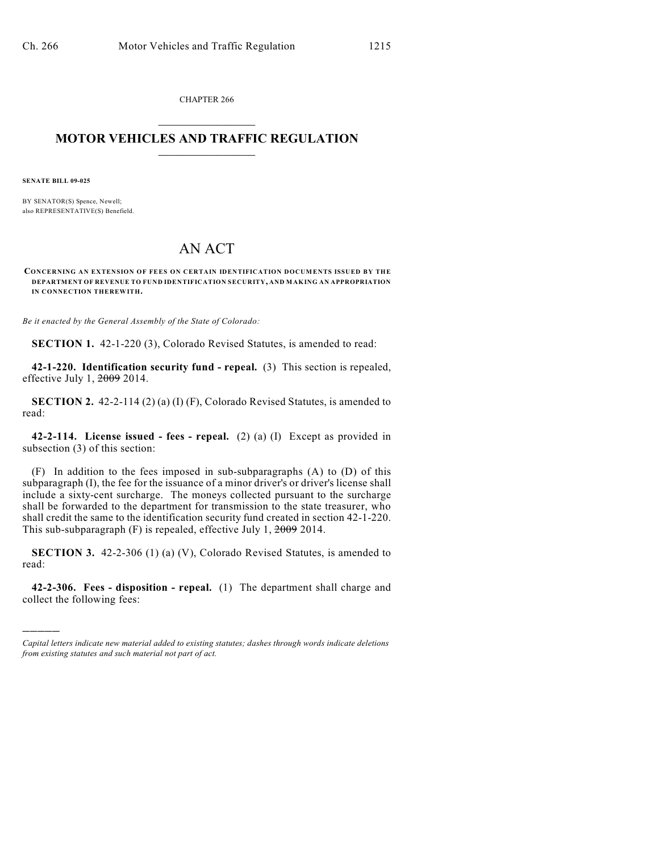CHAPTER 266  $\overline{\phantom{a}}$  . The set of the set of the set of the set of the set of the set of the set of the set of the set of the set of the set of the set of the set of the set of the set of the set of the set of the set of the set o

## **MOTOR VEHICLES AND TRAFFIC REGULATION**  $\frac{1}{2}$  ,  $\frac{1}{2}$  ,  $\frac{1}{2}$  ,  $\frac{1}{2}$  ,  $\frac{1}{2}$  ,  $\frac{1}{2}$  ,  $\frac{1}{2}$  ,  $\frac{1}{2}$

**SENATE BILL 09-025**

)))))

BY SENATOR(S) Spence, Newell; also REPRESENTATIVE(S) Benefield.

## AN ACT

**CONCERNING AN EXTENSION OF FEES ON CERTAIN IDENTIFICATION DOCUMENTS ISSUED BY THE DEPARTMENT OF REVENUE TO FUND IDENTIFICATION SECURITY, AND MAKING AN APPROPRIATION IN CONNECTION THEREWITH.**

*Be it enacted by the General Assembly of the State of Colorado:*

**SECTION 1.** 42-1-220 (3), Colorado Revised Statutes, is amended to read:

**42-1-220. Identification security fund - repeal.** (3) This section is repealed, effective July 1, 2009 2014.

**SECTION 2.** 42-2-114 (2) (a) (I) (F), Colorado Revised Statutes, is amended to read:

**42-2-114. License issued - fees - repeal.** (2) (a) (I) Except as provided in subsection (3) of this section:

(F) In addition to the fees imposed in sub-subparagraphs (A) to (D) of this subparagraph (I), the fee for the issuance of a minor driver's or driver's license shall include a sixty-cent surcharge. The moneys collected pursuant to the surcharge shall be forwarded to the department for transmission to the state treasurer, who shall credit the same to the identification security fund created in section 42-1-220. This sub-subparagraph (F) is repealed, effective July 1, 2009 2014.

**SECTION 3.** 42-2-306 (1) (a) (V), Colorado Revised Statutes, is amended to read:

**42-2-306. Fees - disposition - repeal.** (1) The department shall charge and collect the following fees:

*Capital letters indicate new material added to existing statutes; dashes through words indicate deletions from existing statutes and such material not part of act.*